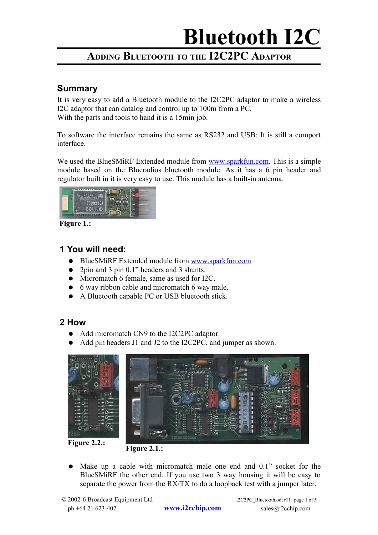### **ADDING BLUETOOTH TO THE I2C2PC ADAPTOR**

#### **Summary**

It is very easy to add a Bluetooth module to the I2C2PC adaptor to make a wireless I2C adaptor that can datalog and control up to 100m from a PC. With the parts and tools to hand it is a 15min job.

To software the interface remains the same as RS232 and USB: It is still a comport interface.

We used the BlueSMiRF Extended module from [www.sparkfun.com.](http://www.sparkfun.com/) This is a simple module based on the Blueradios bluetooth module. As it has a 6 pin header and regulator built in it is very easy to use. This module has a built-in antenna.



**Figure 1.:** 

#### **1 You will need:**

- BlueSMiRF Extended module from [www.sparkfun.com](http://www.sparkfun.com/)
- 2pin and 3 pin 0.1" headers and 3 shunts.
- Micromatch 6 female, same as used for I2C.
- 6 way ribbon cable and micromatch 6 way male.
- A Bluetooth capable PC or USB bluetooth stick.

#### **2 How**

- Add micromatch CN9 to the I2C2PC adaptor.
- Add pin headers J1 and J2 to the I2C2PC, and jumper as shown.



**Figure 2.2.:** 



● Make up a cable with micromatch male one end and 0.1" socket for the BlueSMiRF the other end. If you use two 3 way housing it will be easy to separate the power from the RX/TX to do a loopback test with a jumper later.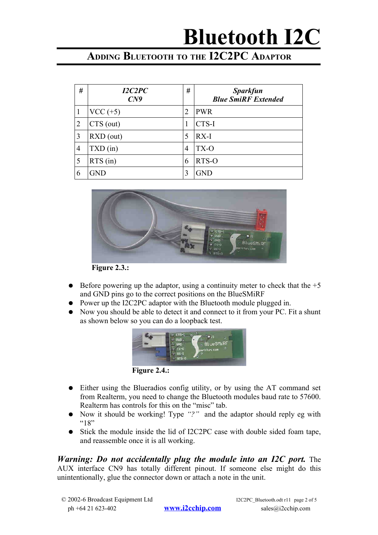### **ADDING BLUETOOTH TO THE I2C2PC ADAPTOR**

| #              | I2C2PC<br>C <sub>N</sub> 9             | #              | <b>Sparkfun</b><br><b>Blue SmiRF Extended</b> |
|----------------|----------------------------------------|----------------|-----------------------------------------------|
| $\mathbf{1}$   | $VCC (+5)$                             | 2              | <b>PWR</b>                                    |
| $\overline{2}$ | $CTS$ (out)                            | 1              | CTS-I                                         |
| 3              | $\overline{R}$ XD $\overline{O}$ (out) | 5              | $RX-I$                                        |
| $\overline{4}$ | $TXD$ (in)                             | $\overline{4}$ | TX-O                                          |
| 5              | $RTS$ (in)                             | 6              | RTS-O                                         |
| 6              | GND                                    |                | <b>GND</b>                                    |



**Figure 2.3.:** 

- Before powering up the adaptor, using a continuity meter to check that the  $+5$ and GND pins go to the correct positions on the BlueSMiRF
- Power up the I2C2PC adaptor with the Bluetooth module plugged in.
- Now you should be able to detect it and connect to it from your PC. Fit a shunt as shown below so you can do a loopback test.



**Figure 2.4.:** 

- Either using the Blueradios config utility, or by using the AT command set from Realterm, you need to change the Bluetooth modules baud rate to 57600. Realterm has controls for this on the "misc" tab.
- Now it should be working! Type "?" and the adaptor should reply eg with  $418"$
- Stick the module inside the lid of I2C2PC case with double sided foam tape, and reassemble once it is all working.

*Warning: Do not accidentally plug the module into an I2C port.* The AUX interface CN9 has totally different pinout. If someone else might do this unintentionally, glue the connector down or attach a note in the unit.

© 2002-6 Broadcast Equipment Ltd I2C2PC\_Bluetooth.odt r11 page 2 of 5 ph +64 21 623-402 **[www.i2cchip.com](http://www.i2cchip.com/)** sales@i2cchip.com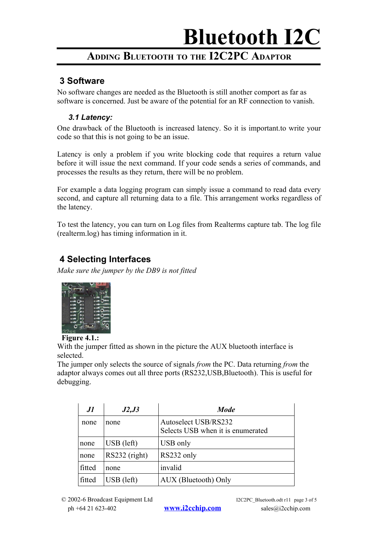### **ADDING BLUETOOTH TO THE I2C2PC ADAPTOR**

#### **3 Software**

No software changes are needed as the Bluetooth is still another comport as far as software is concerned. Just be aware of the potential for an RF connection to vanish.

#### *3.1 Latency:*

One drawback of the Bluetooth is increased latency. So it is important.to write your code so that this is not going to be an issue.

Latency is only a problem if you write blocking code that requires a return value before it will issue the next command. If your code sends a series of commands, and processes the results as they return, there will be no problem.

For example a data logging program can simply issue a command to read data every second, and capture all returning data to a file. This arrangement works regardless of the latency.

To test the latency, you can turn on Log files from Realterms capture tab. The log file (realterm.log) has timing information in it.

#### **4 Selecting Interfaces**

*Make sure the jumper by the DB9 is not fitted*



#### **Figure 4.1.:**

With the jumper fitted as shown in the picture the AUX bluetooth interface is selected.

The jumper only selects the source of signals *from* the PC. Data returning *from* the adaptor always comes out all three ports (RS232,USB,Bluetooth). This is useful for debugging.

| .I1    | J2,J3                   | <b>Mode</b>                                               |
|--------|-------------------------|-----------------------------------------------------------|
| none   | none                    | Autoselect USB/RS232<br>Selects USB when it is enumerated |
| none   | $\overline{UBB}$ (left) | USB only                                                  |
| none   | RS232 (right)           | RS232 only                                                |
| fitted | none                    | invalid                                                   |
| fitted | $\overline{UB}$ (left)  | AUX (Bluetooth) Only                                      |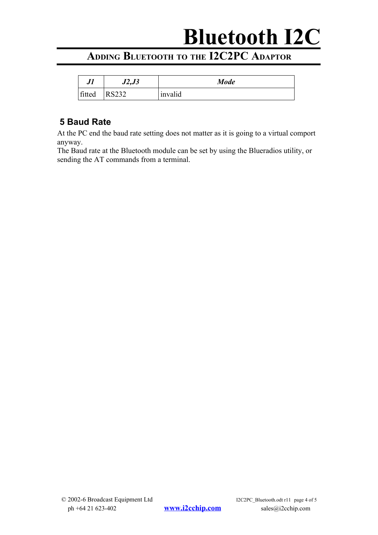### **ADDING BLUETOOTH TO THE I2C2PC ADAPTOR**

| JI     | J2, J3         | <b>Mode</b> |
|--------|----------------|-------------|
| fitted | ぐつつつ<br>152222 | invalid     |

#### **5 Baud Rate**

At the PC end the baud rate setting does not matter as it is going to a virtual comport anyway.

The Baud rate at the Bluetooth module can be set by using the Blueradios utility, or sending the AT commands from a terminal.